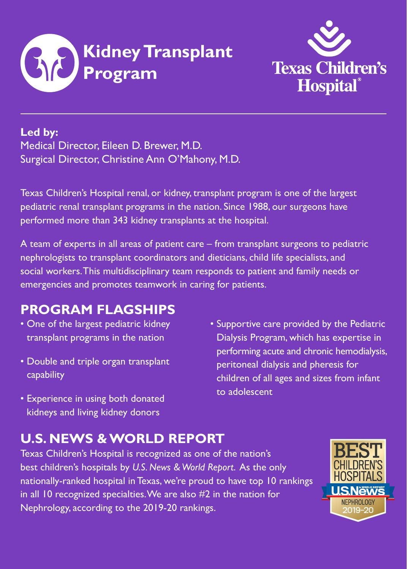



#### **Led by:**

Medical Director, Eileen D. Brewer, M.D. Surgical Director, Christine Ann O'Mahony, M.D.

pediatric renal transplant programs in the nation. Since 1988, our surgeons have and the stag performed more than 343 kidney transplants at the hospital. In the nation of the national control of the nation Texas Children's Hospital renal, or kidney, transplant program is one of the largest

A team of experts in all areas of patient care – from transplant surgeons to pediatric nephrologists to transplant coordinators and dieticians, child life specialists, and social workers.This multidisciplinary team responds to patient and family needs or emergencies and promotes teamwork in caring for patients. of the pre-and post-lung transplant care are provided in a state-of-the-art setting using

## **PROGRAM FLAGSHIPS**

- One of the largest pediatric kidney transplant programs in the nation
- capability
- One of the largest pediatric kidney **•** Supportive care provided by the Pediatric transplant programs in the nation **by a vance provider providers** providers, and providers in the nation specialist, pre-transplant and post-transport-transplant coordinators. Our comprehensive performing acute and chronic hemodialysis, • Double and triple organ transplant response to the lung team includes the lung transplant response to the lung transplant response to the lung transplant response to the lung transplant response to the lung transplant re population: a social worker, a social worker, physical therapists, and photosistic specialists, physical therapists, physical therapists, physical therapists, physical therapists, physical therapists, physical therapists, capability and a financial counselor. We are among a handful of all ages and sizes from infant peritoneal dialysis and pheresis for to adolescent
- Experience in using both donated **the and psychology and psychology. And psychology and psychology and psychology** dedicated to our patients' care include the following: and the following: and the following: transfusion  $\alpha$ medicine specialists, critical care physicians, economic medical care physicians, extensive medical medical me

# U.S. NEWS & WORLD REPORT

Texas Children's Hospital is recognized as one of the nation's best children's hospitals by *U.S. News & World Report*. As the only nationally-ranked hospital in Texas, we're proud to have top 10 rankings in all 10 recognized specialties. We are also #2 in the nation for Nephrology, according to the 2019-20 rankings.